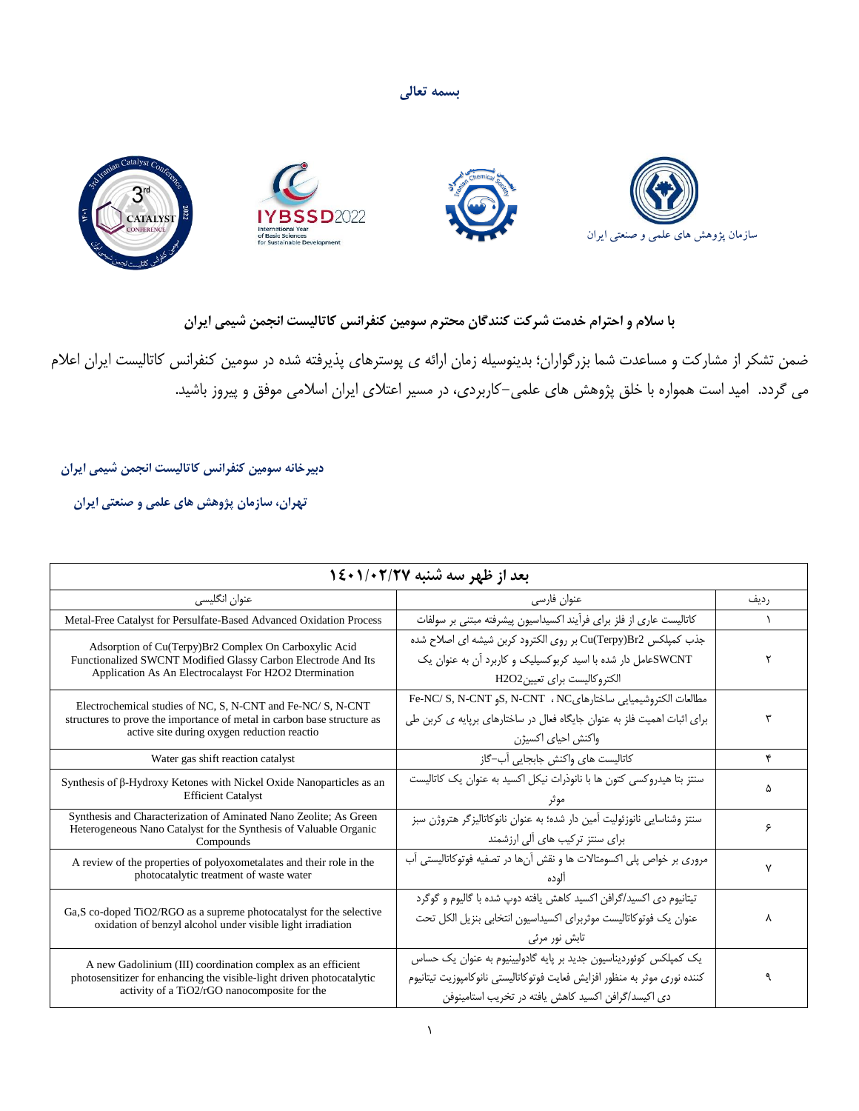**بسمه تعالی**



## **با سالم و احترام خدمت شرکت کنندگان محترم سومین کنفرانس کاتالیست انجمن شیمی ایران**

ضمن تشکر از مشارکت و مساعدت شما بزرگواران؛ بدینوسیله زمان ارائه ی پوسترهای پذیرفته شده در سومین کنفرانس کاتالیست ایران اعالم می گردد. امید است همواره با خلق پژوهش های علمی-کاربردی، در مسیر اعتالی ایران اسالمی موفق و پیروز باشید.

 **دبیرخانه سومین کنفرانس کاتالیست انجمن شیمی ایران** 

 **تهران، سازمان پژوهش های علمی و صنعتی ایران** 

| بعد از ظهر سه شنبه ۱/۰۲/۲۷ گ                                                                                                                                                          |                                                                                                                                                                                                       |      |
|---------------------------------------------------------------------------------------------------------------------------------------------------------------------------------------|-------------------------------------------------------------------------------------------------------------------------------------------------------------------------------------------------------|------|
| عنوان انگلیسی                                                                                                                                                                         | عنوان فارسی                                                                                                                                                                                           | رديف |
| Metal-Free Catalyst for Persulfate-Based Advanced Oxidation Process                                                                                                                   | كاتاليست عاري از فلز براي فرآيند اكسيداسيون پيشرفته مبتني بر سولفات                                                                                                                                   |      |
| Adsorption of Cu(Terpy)Br2 Complex On Carboxylic Acid<br>Functionalized SWCNT Modified Glassy Carbon Electrode And Its<br>Application As An Electrocalayst For H2O2 Dtermination      | جذب كمپلكس Cu(Terpy)Br2 بر روى الكترود كربن شيشه اى اصلاح شده<br>SWCNTهعامل دار شده با اسید کربوکسیلیک و کاربرد آن به عنوان یک<br>الكتروكاليست براى تعيينH2O2                                         |      |
| Electrochemical studies of NC, S, N-CNT and Fe-NC/S, N-CNT<br>structures to prove the importance of metal in carbon base structure as<br>active site during oxygen reduction reaction | Fe-NC/ S, N-CNT <sub>9</sub> S, N-CNT 1 NC <sub>6</sub> N و Fe-NC/ S, N-CNT<br>برای اثبات اهمیت فلز به عنوان جایگاه فعال در ساختارهای برپایه ی کربن طی<br>واكنش احياي اكسيژن                          |      |
| Water gas shift reaction catalyst                                                                                                                                                     | كاتاليست هاى واكنش جابجايي آب–گاز                                                                                                                                                                     | ۴    |
| Synthesis of $\beta$ -Hydroxy Ketones with Nickel Oxide Nanoparticles as an<br><b>Efficient Catalyst</b>                                                                              | سنتز بتا هیدروکسی کتون ها با نانوذرات نیکل اکسید به عنوان یک کاتالیست                                                                                                                                 |      |
| Synthesis and Characterization of Aminated Nano Zeolite; As Green<br>Heterogeneous Nano Catalyst for the Synthesis of Valuable Organic<br>Compounds                                   | سنتز وشناسایی نانوزئولیت آمین دار شده؛ به عنوان نانوکاتالیزگر هتروژن سبز<br>برای سنتز ترکیب های آلی ارزشمند                                                                                           | ۶    |
| A review of the properties of polyoxometalates and their role in the<br>photocatalytic treatment of waste water                                                                       | مروری بر خواص پلی اکسومتالات ها و نقش آنها در تصفیه فوتوکاتالیستی آب<br>الوده                                                                                                                         |      |
| Ga, S co-doped TiO2/RGO as a supreme photocatalyst for the selective<br>oxidation of benzyl alcohol under visible light irradiation                                                   | تیتانیوم دی اکسید/گرافن اکسید کاهش یافته دوپ شده با گالیوم و گوگرد<br>عنوان يک فوتوكاتاليست موثربراي اكسيداسيون انتخابي بنزيل الكل تحت<br>تابش نور مرئ <i>ی</i>                                       | ٨    |
| A new Gadolinium (III) coordination complex as an efficient<br>photosensitizer for enhancing the visible-light driven photocatalytic<br>activity of a TiO2/rGO nanocomposite for the  | یک کمپلکس کوئوردیناسیون جدید بر پایه گادولیینیوم به عنوان یک حساس<br>كننده نورى موثر به منظور افزايش فعايت فوتوكاتاليستي نانوكامپوزيت تيتانيوم<br>دی اکیسد/گرافن اکسید کاهش یافته در تخریب استامینوفن |      |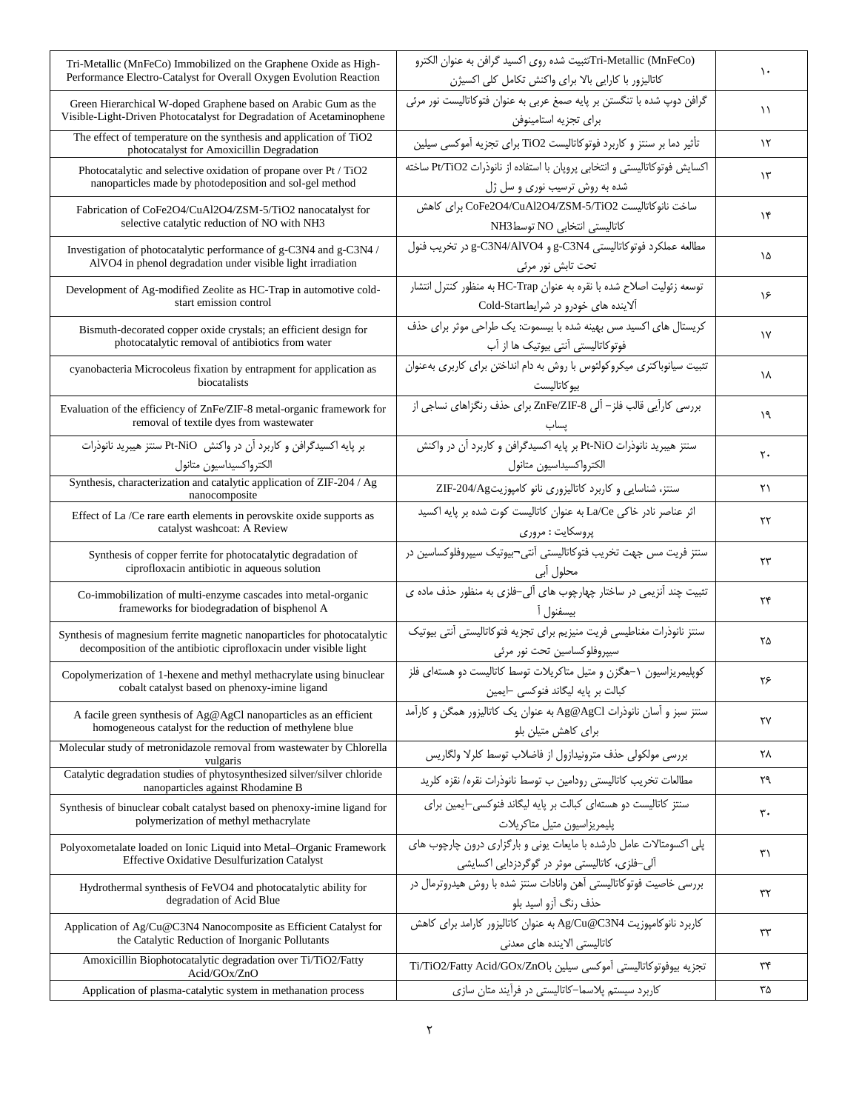| Tri-Metallic (MnFeCo) Immobilized on the Graphene Oxide as High-<br>Performance Electro-Catalyst for Overall Oxygen Evolution Reaction        | Tri-Metallic (MnFeCo)تثبیت شده روی اکسید گرافن به عنوان الکترو<br>كاتاليزور با كارايي بالا براي واكنش تكامل كلى اكسيژن | ١.            |
|-----------------------------------------------------------------------------------------------------------------------------------------------|------------------------------------------------------------------------------------------------------------------------|---------------|
| Green Hierarchical W-doped Graphene based on Arabic Gum as the<br>Visible-Light-Driven Photocatalyst for Degradation of Acetaminophene        | گرافن دوپ شده با تنگستن بر پایه صمغ عربی به عنوان فتوکاتالیست نور مرئی<br>براى تجزيه استامينوفن                        | ۱۱            |
| The effect of temperature on the synthesis and application of TiO2<br>photocatalyst for Amoxicillin Degradation                               | تأثیر دما بر سنتز و کاربرد فوتوکاتالیست TiO2 برای تجزیه آموکسی سیلین                                                   | $\lambda$     |
| Photocatalytic and selective oxidation of propane over Pt / TiO2<br>nanoparticles made by photodeposition and sol-gel method                  | اكسايش فوتوكاتاليستي و انتخابي پروپان با استفاده از نانوذرات Pt/TiO2 ساخته<br>شده به روش ترسیب نوری و سل ژل            | $\mathcal{N}$ |
| Fabrication of CoFe2O4/CuAl2O4/ZSM-5/TiO2 nanocatalyst for<br>selective catalytic reduction of NO with NH3                                    | ساخت نانوكاتاليست CoFe2O4/CuAl2O4/ZSM-5/TiO2 براي كاهش<br>كاتاليستى انتخابى NO توسطNH3                                 | ۱۴            |
| Investigation of photocatalytic performance of g-C3N4 and g-C3N4 /<br>AlVO4 in phenol degradation under visible light irradiation             | مطالعه عملكرد فوتوكاتاليستى g-C3N4 و g-C3N4/AIVO4 در تخريب فنول<br>تحت تابش نور مرئی                                   | ۱۵            |
| Development of Ag-modified Zeolite as HC-Trap in automotive cold-<br>start emission control                                                   | توسعه زئوليت اصلاح شده با نقره به عنوان HC-Trap به منظور كنترل انتشار<br>آلاینده های خودرو در شرایطCold-Start          | ۱۶            |
| Bismuth-decorated copper oxide crystals; an efficient design for<br>photocatalytic removal of antibiotics from water                          | کریستال های اکسید مس بهینه شده با بیسموت: یک طراحی موثر برای حذف<br>فوتوكاتاليستي أنتي بيوتيك ها از آب                 | $\gamma$      |
| cyanobacteria Microcoleus fixation by entrapment for application as<br>biocatalists                                                           | تثبیت سیانوباکتری میکروکولئوس با روش به دام انداختن برای کاربری بهعنوان<br>بيو كاتاليست                                | ١٨            |
| Evaluation of the efficiency of ZnFe/ZIF-8 metal-organic framework for<br>removal of textile dyes from wastewater                             | بررسی کارآیی قالب فلز- آلی ZnFe/ZIF-8 برای حذف رنگزاهای نساجی از                                                       | ۱۹            |
| بر پایه اکسیدگرافن و کاربرد آن در واکنش Pt-NiO سنتز هیبرید نانوذرات<br>الكترواكسيداسيون متانول                                                | سنتز هیبرید نانوذرات Pt-NiO بر پایه اکسیدگرافن و کاربرد آن در واکنش<br>الكترواكسيداسيون متانول                         | ٢٠            |
| Synthesis, characterization and catalytic application of ZIF-204 / Ag<br>nanocomposite                                                        | سنتز، شناسایی و کاربرد کاتالیزوری نانو کامپوزیتZIF-204/Ag                                                              | ۲۱            |
| Effect of La /Ce rare earth elements in perovskite oxide supports as<br>catalyst washcoat: A Review                                           | اثر عناصر نادر خاکی La/Ce به عنوان کاتالیست کوت شده بر پایه اکسید<br>پروسکایت : مروری                                  | ۲۲            |
| Synthesis of copper ferrite for photocatalytic degradation of<br>ciprofloxacin antibiotic in aqueous solution                                 | سنتز فريت مس جهت تخريب فتوكاتاليستي آنتي¬ييوتيک سيپروفلوكساسين در<br>محلول آبي                                         | ٢٣            |
| Co-immobilization of multi-enzyme cascades into metal-organic<br>frameworks for biodegradation of bisphenol A                                 | تثبیت چند آنزیمی در ساختار چهارچوب های آلی-فلزی به منظور حذف ماده ی<br>بيسفنول آ                                       | ۲۴            |
| Synthesis of magnesium ferrite magnetic nanoparticles for photocatalytic<br>decomposition of the antibiotic ciprofloxacin under visible light | سنتز نانوذرات مغناطيسي فريت منيزيم براي تجزيه فتوكاتاليستي آنتي بيوتيك<br>سيپروفلوكساسين تحت نور مرئى                  | ۲۵            |
| Copolymerization of 1-hexene and methyl methacrylate using binuclear<br>cobalt catalyst based on phenoxy-imine ligand                         | کوپلیمریزاسیون ١–هگزن و متیل متاکریلات توسط کاتالیست دو هستهای فلز<br>کبالت بر پايه ليگاند فنوكسي ⊣يمين                | ٢۶            |
| A facile green synthesis of $Ag@AgCl$ nanoparticles as an efficient<br>homogeneous catalyst for the reduction of methylene blue               | سنتز سبز و آسان نانوذرات Ag@AgCl به عنوان یک کاتالیزور همگن و کارآمد<br>برای کاهش متیلن بلو                            | ٢٧            |
| Molecular study of metronidazole removal from wastewater by Chlorella<br>vulgaris                                                             | بررسی مولکولی حذف مترونیدازول از فاضلاب توسط کلرلا ولگاریس                                                             | ۲۸            |
| Catalytic degradation studies of phytosynthesized silver/silver chloride<br>nanoparticles against Rhodamine B                                 | مطالعات تخريب كاتاليستي رودامين ب توسط نانوذرات نقره/ نقزه كلريد                                                       | ٢٩            |
| Synthesis of binuclear cobalt catalyst based on phenoxy-imine ligand for<br>polymerization of methyl methacrylate                             | سنتز کاتالیست دو هستهای کبالت بر پایه لیگاند فنوکسی-ایمین برای<br>پليمريزاسيون متيل متاكريلات                          | ٣٠            |
| Polyoxometalate loaded on Ionic Liquid into Metal-Organic Framework<br><b>Effective Oxidative Desulfurization Catalyst</b>                    | یلی اکسومتالات عامل دارشده با مایعات یونی و بارگزاری درون چارچوب های<br>آلی–فلزی، کاتالیستی موثر در گوگردزدایی اکسایشی | ٣١            |
| Hydrothermal synthesis of FeVO4 and photocatalytic ability for<br>degradation of Acid Blue                                                    | بررسی خاصیت فوتوکاتالیستی آهن وانادات سنتز شده با روش هیدروترمال در<br>حذف رنگ آزو اسید بلو                            | ٣٢            |
| Application of Ag/Cu@C3N4 Nanocomposite as Efficient Catalyst for<br>the Catalytic Reduction of Inorganic Pollutants                          | كاربرد نانوكامپوزيت Ag/Cu@C3N4 به عنوان كاتاليزور كارامد براي كاهش<br>کاتالیستی الاینده های معدنی                      | ٣٣            |
| Amoxicillin Biophotocatalytic degradation over Ti/TiO2/Fatty<br>Acid/GOx/ZnO                                                                  | تجزيه بيوفوتوكاتاليستى أموكسي سيلين باTi/TiO2/Fatty Acid/GOx/ZnO                                                       | ٣۴            |
| Application of plasma-catalytic system in methanation process                                                                                 | کاربرد سیستم پلاسما–کاتالیستی در فرآیند متان سازی                                                                      | ۳۵            |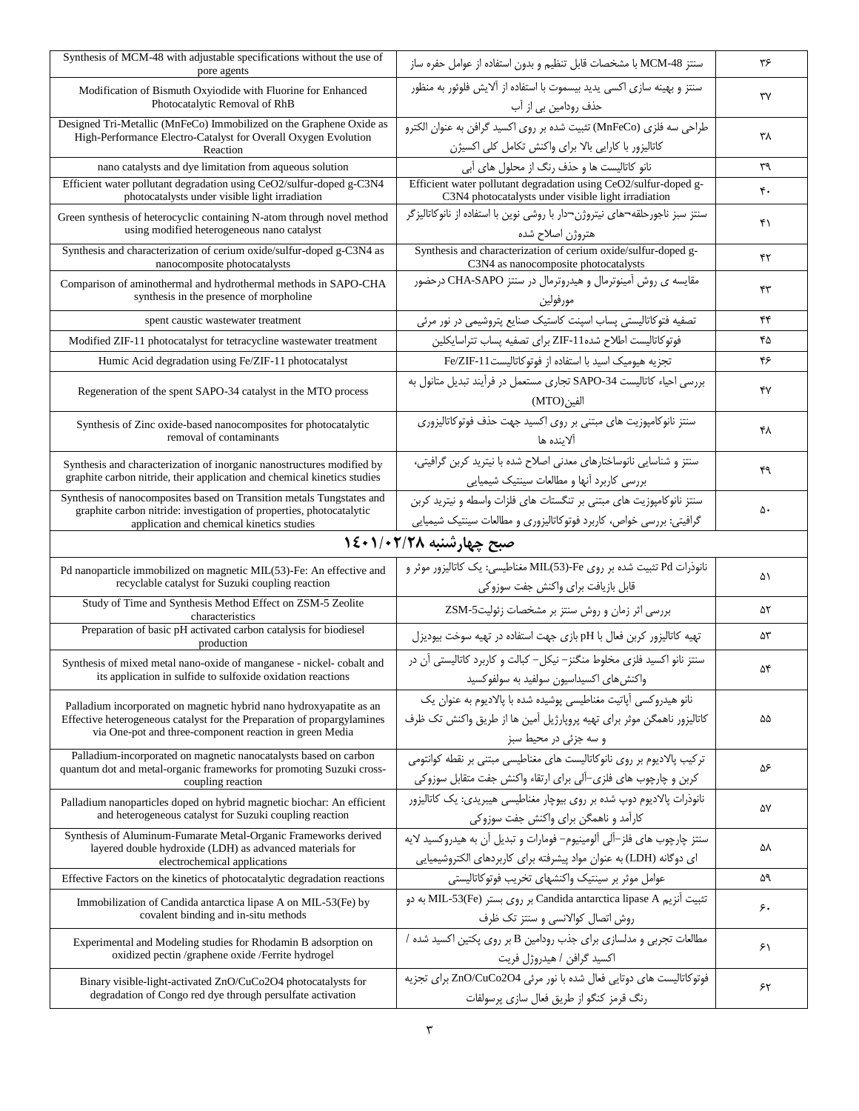| Synthesis of MCM-48 with adjustable specifications without the use of<br>pore agents                                                                                                                      | سنتز MCM-48 با مشخصات قابل تنظيم و بدون استفاده از عوامل حفره ساز                                                                                                   | ۳۶ |
|-----------------------------------------------------------------------------------------------------------------------------------------------------------------------------------------------------------|---------------------------------------------------------------------------------------------------------------------------------------------------------------------|----|
| Modification of Bismuth Oxyiodide with Fluorine for Enhanced<br>Photocatalytic Removal of RhB                                                                                                             | سنتز و بهینه سازی اکسی پدید بیسموت با استفاده از آلایش فلوئور به منظور<br>حذف رودامین بی از آب                                                                      | ٣٧ |
| Designed Tri-Metallic (MnFeCo) Immobilized on the Graphene Oxide as<br>High-Performance Electro-Catalyst for Overall Oxygen Evolution<br>Reaction                                                         | طراحي سه فلزي (MnFeCo) تثبيت شده بر روى اكسيد گرافن به عنوان الكترو<br>كاتاليزور با كارايي بالا براي واكنش تكامل كلى اكسيژن                                         | ۳۸ |
| nano catalysts and dye limitation from aqueous solution                                                                                                                                                   | نانو کاتالیست ها و حذف رنگ از محلول های آبی                                                                                                                         | ٣٩ |
| Efficient water pollutant degradation using CeO2/sulfur-doped g-C3N4<br>photocatalysts under visible light irradiation                                                                                    | Efficient water pollutant degradation using CeO2/sulfur-doped g-<br>C3N4 photocatalysts under visible light irradiation                                             | ۴. |
| Green synthesis of heterocyclic containing N-atom through novel method<br>using modified heterogeneous nano catalyst                                                                                      | سنتز سبز ناجورحلقه¬های نیتروژن¬دار با روشی نوین با استفاده از نانوکاتالیزگر<br>هتروژن اصلاح شده                                                                     | ۴۱ |
| Synthesis and characterization of cerium oxide/sulfur-doped g-C3N4 as<br>nanocomposite photocatalysts                                                                                                     | Synthesis and characterization of cerium oxide/sulfur-doped g-<br>C3N4 as nanocomposite photocatalysts                                                              | ۴٢ |
| Comparison of aminothermal and hydrothermal methods in SAPO-CHA<br>synthesis in the presence of morpholine                                                                                                | مقایسه ی روش آمینوترمال و هیدروترمال در سنتز CHA-SAPO درحضور<br>مورفولين                                                                                            | ۴۳ |
| spent caustic wastewater treatment                                                                                                                                                                        | تصفیه فتوکاتالیستی پساب اسپنت کاستیک صنایع پتروشیمی در نور مرئی                                                                                                     | ۴۴ |
| Modified ZIF-11 photocatalyst for tetracycline wastewater treatment                                                                                                                                       | فوتوكاتاليست اطلاح شده11-ZIF براى تصفيه پساب تتراسايكلين                                                                                                            | ۴۵ |
| Humic Acid degradation using Fe/ZIF-11 photocatalyst                                                                                                                                                      | تجزیه هیومیک اسید با استفاده از فوتوکاتالیست11-Fe/ZIF                                                                                                               | ۴۶ |
| Regeneration of the spent SAPO-34 catalyst in the MTO process                                                                                                                                             | بررسی احیاء کاتالیست SAPO-34 تجاری مستعمل در فرآیند تبدیل متانول به<br>الفين(MTO)                                                                                   | ۴٧ |
| Synthesis of Zinc oxide-based nanocomposites for photocatalytic<br>removal of contaminants                                                                                                                | سنتز نانوکامپوزیت های مبتنی بر روی اکسید جهت حذف فوتوکاتالیزوری<br>الاىندە ھا                                                                                       | ۴۸ |
| Synthesis and characterization of inorganic nanostructures modified by<br>graphite carbon nitride, their application and chemical kinetics studies                                                        | سنتز و شناسایی نانوساختارهای معدنی اصلاح شده با نیترید کربن گرافیتی،<br>بررسی کاربرد أنها و مطالعات سینتیک شیمیایی                                                  | ۴۹ |
| Synthesis of nanocomposites based on Transition metals Tungstates and<br>graphite carbon nitride: investigation of properties, photocatalytic<br>application and chemical kinetics studies                | سنتز نانوكامپوزيت هاى مبتنى بر تنگستات هاى فلزات واسطه و نيتريد كربن<br>گرافیتی: بررسی خواص، کاربرد فوتوکاتالیزوری و مطالعات سینتیک شیمیایی                         | ۵۰ |
| صبح چهارشنبه ۱/۰۲/۲۸+۱٤                                                                                                                                                                                   |                                                                                                                                                                     |    |
|                                                                                                                                                                                                           |                                                                                                                                                                     |    |
| Pd nanoparticle immobilized on magnetic MIL(53)-Fe: An effective and<br>recyclable catalyst for Suzuki coupling reaction                                                                                  | نانوذرات Pd تثبیت شده بر روی Fe-(MIL(53)-Fe مغناطیسی: یک کاتالیزور موثر و<br>قابل بازيافت براي واكنش جفت سوزوكي                                                     | ۵۱ |
| Study of Time and Synthesis Method Effect on ZSM-5 Zeolite<br>characteristics                                                                                                                             | بررسی اثر زمان و روش سنتز بر مشخصات زئولیت2SM-5                                                                                                                     | ۵٢ |
| Preparation of basic pH activated carbon catalysis for biodiesel<br>production                                                                                                                            | تهیه کاتالیزور کربن فعال با pH بازی جهت استفاده در تهیه سوخت بیودیزل                                                                                                | ۵۳ |
| Synthesis of mixed metal nano-oxide of manganese - nickel-cobalt and<br>its application in sulfide to sulfoxide oxidation reactions                                                                       | سنتز نانو اکسید فلزی مخلوط منگنز– نیکل– کبالت و کاربرد کاتالیستی آن در<br>واكنش هاى اكسيداسيون سولفيد به سولفوكسيد                                                  | ۵۴ |
| Palladium incorporated on magnetic hybrid nano hydroxyapatite as an<br>Effective heterogeneous catalyst for the Preparation of propargylamines<br>via One-pot and three-component reaction in green Media | نانو هیدروکسی آپاتیت مغناطیسی پوشیده شده با پالادیوم به عنوان یک<br>كاتاليزور ناهمگن موثر براي تهيه پروپارژيل آمين ها از طريق واكنش تک ظرف<br>و سه جزئی در محیط سبز | ۵۵ |
| Palladium-incorporated on magnetic nanocatalysts based on carbon<br>quantum dot and metal-organic frameworks for promoting Suzuki cross-<br>coupling reaction                                             | ترکیب پالادیوم بر روی نانوکاتالیست های مغناطیسی مبتنی بر نقطه کوانتومی<br>كربن و چارچوب هاى فلزى–آلى براى ارتقاء واكنش جفت متقابل سوزوكى                            | ۵۶ |
| Palladium nanoparticles doped on hybrid magnetic biochar: An efficient<br>and heterogeneous catalyst for Suzuki coupling reaction                                                                         | نانوذرات پالادیوم دوپ شده بر روی بیوچار مغناطیسی هیبریدی: یک کاتالیزور<br>كارآمد و ناهمگن براي واكنش جفت سوزوكي                                                     | ۵۷ |
| Synthesis of Aluminum-Fumarate Metal-Organic Frameworks derived<br>layered double hydroxide (LDH) as advanced materials for<br>electrochemical applications                                               | سنتز چارچوب های فلز–آلی آلومینیوم– فومارات و تبدیل آن به هیدروکسید لایه<br>ای دوگانه (LDH) به عنوان مواد پیشرفته برای کاربردهای الکتروشیمیایی                       | ۵۸ |
| Effective Factors on the kinetics of photocatalytic degradation reactions                                                                                                                                 | عوامل موثر بر سينتيک واکنشهای تخريب فوتوكاتاليستى                                                                                                                   | ۵۹ |
| Immobilization of Candida antarctica lipase A on MIL-53(Fe) by<br>covalent binding and in-situ methods                                                                                                    | تثبیت آنزیم Candida antarctica lipase A بر روی بستر (MIL-53(Fe به دو<br>روش اتصال كوالانسى وسنتز تك ظرف                                                             | ۶. |
| Experimental and Modeling studies for Rhodamin B adsorption on<br>oxidized pectin /graphene oxide /Ferrite hydrogel                                                                                       | مطالعات تجربی و مدلسازی برای جذب رودامین B بر روی پکتین اکسید شده /<br>اکسید گرافن / هیدروژل فریت                                                                   | ۶۱ |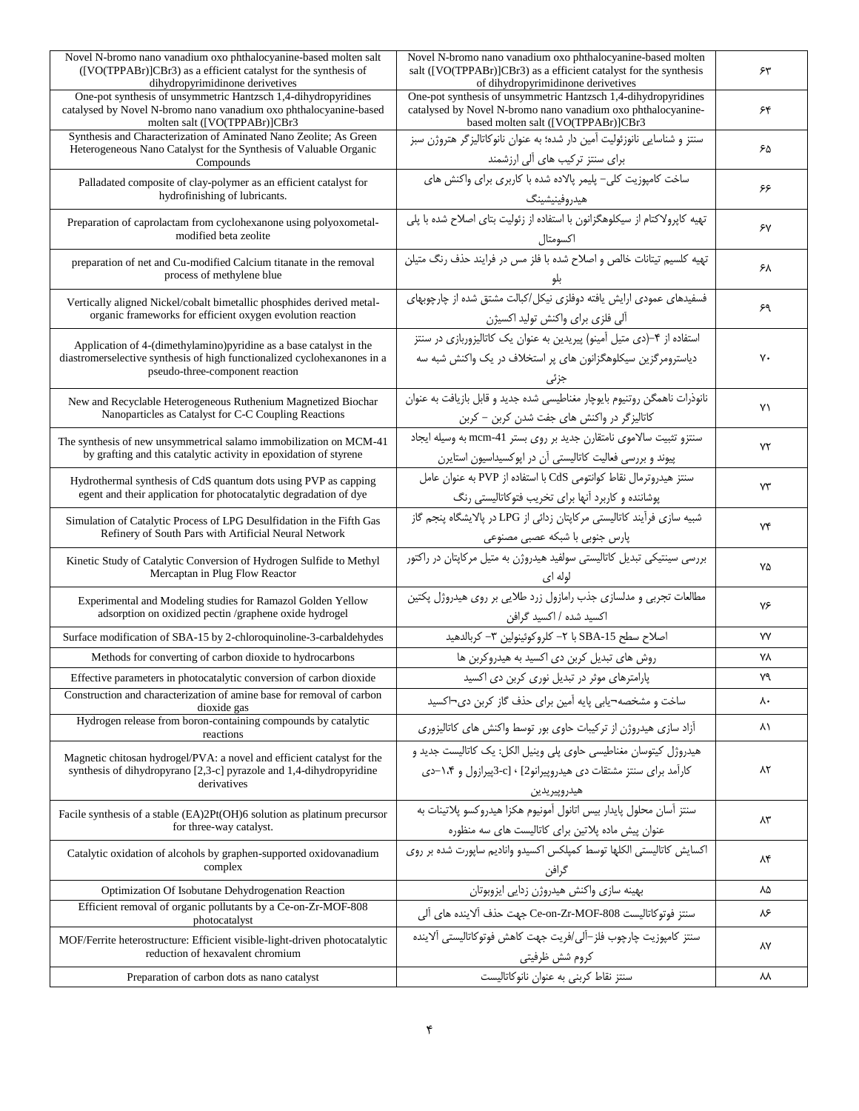| Novel N-bromo nano vanadium oxo phthalocyanine-based molten salt                                                                                                                   | Novel N-bromo nano vanadium oxo phthalocyanine-based molten                                                                                                           |    |
|------------------------------------------------------------------------------------------------------------------------------------------------------------------------------------|-----------------------------------------------------------------------------------------------------------------------------------------------------------------------|----|
| ([VO(TPPABr)]CBr3) as a efficient catalyst for the synthesis of<br>dihydropyrimidinone derivetives                                                                                 | salt ([VO(TPPABr)]CBr3) as a efficient catalyst for the synthesis<br>of dihydropyrimidinone derivetives                                                               | ۶۳ |
| One-pot synthesis of unsymmetric Hantzsch 1,4-dihydropyridines<br>catalysed by Novel N-bromo nano vanadium oxo phthalocyanine-based<br>molten salt ([VO(TPPABr)]CBr3               | One-pot synthesis of unsymmetric Hantzsch 1,4-dihydropyridines<br>catalysed by Novel N-bromo nano vanadium oxo phthalocyanine-<br>based molten salt ([VO(TPPABr)]CBr3 | ۶۴ |
| Synthesis and Characterization of Aminated Nano Zeolite; As Green<br>Heterogeneous Nano Catalyst for the Synthesis of Valuable Organic<br>Compounds                                | سنتز و شناسایی نانوزئولیت آمین دار شده؛ به عنوان نانوکاتالیزگر هتروژن سبز<br>برای سنتز ترکیب های آلی ارزشمند                                                          | ۶۵ |
| Palladated composite of clay-polymer as an efficient catalyst for<br>hydrofinishing of lubricants.                                                                                 | ساخت کامپوزیت کلی- پلیمر پالاده شده با کاربری برای واکنش های<br>هيدروفينيشينگ                                                                                         | ۶۶ |
| Preparation of caprolactam from cyclohexanone using polyoxometal-<br>modified beta zeolite                                                                                         | تهیه کاپرولاکتام از سیکلوهگزانون با استفاده از زئولیت بتای اصلاح شده با پلی<br>اكسومتال                                                                               | ۶٧ |
| preparation of net and Cu-modified Calcium titanate in the removal<br>process of methylene blue                                                                                    | تهیه کلسیم تیتانات خالص و اصلاح شده با فلز مس در فرایند حذف رنگ متیلن                                                                                                 | ۶۸ |
| Vertically aligned Nickel/cobalt bimetallic phosphides derived metal-<br>organic frameworks for efficient oxygen evolution reaction                                                | آلی فلزی برای واکنش تولید اکسیژن                                                                                                                                      | ۶۹ |
| Application of 4-(dimethylamino) pyridine as a base catalyst in the<br>diastromerselective synthesis of high functionalized cyclohexanones in a<br>pseudo-three-component reaction | استفاده از ۴-(دی متیل آمینو) پیریدین به عنوان یک کاتالیزوربازی در سنتز<br>دیاسترومرگزین سیکلوهگزانون های پر استخلاف در یک واکنش شبه سه<br>جزتى                        | ٧٠ |
| New and Recyclable Heterogeneous Ruthenium Magnetized Biochar<br>Nanoparticles as Catalyst for C-C Coupling Reactions                                                              | نانوذرات ناهمگن روتنيوم بايوچار مغناطيسي شده جديد و قابل بازيافت به عنوان<br>کاتالیزگر در واکنش های جفت شدن کربن – کربن                                               | ۷١ |
| The synthesis of new unsymmetrical salamo immobilization on MCM-41<br>by grafting and this catalytic activity in epoxidation of styrene                                            | سنتزو تثبیت سالاموی نامتقارن جدید بر روی بستر mcm-41 به وسیله ایجاد<br>پیوند و بررسی فعالیت کاتالیستی آن در اپوکسیداسیون استایرن                                      | ٧٢ |
| Hydrothermal synthesis of CdS quantum dots using PVP as capping<br>egent and their application for photocatalytic degradation of dye                                               | سنتز هیدروترمال نقاط کوانتومی CdS با استفاده از PVP به عنوان عامل<br>پوشاننده و کاربرد آنها برای تخریب فتوکاتالیستی رنگ                                               | ۷۳ |
| Simulation of Catalytic Process of LPG Desulfidation in the Fifth Gas<br>Refinery of South Pars with Artificial Neural Network                                                     | شبیه سازی فرآیند کاتالیستی مرکاپتان زدائی از LPG در پالایشگاه پنجم گاز<br>پارس جنوبی با شبکه عصبی مصنوعی                                                              | ٧۴ |
| Kinetic Study of Catalytic Conversion of Hydrogen Sulfide to Methyl<br>Mercaptan in Plug Flow Reactor                                                                              | بررسی سینتیکی تبدیل کاتالیستی سولفید هیدروژن به متیل مرکاپتان در راکتور<br>لوله ای                                                                                    | ٧۵ |
| Experimental and Modeling studies for Ramazol Golden Yellow<br>adsorption on oxidized pectin /graphene oxide hydrogel                                                              | مطالعات تجربی و مدلسازی جذب رامازول زرد طلایی بر روی هیدروژل پکتین<br>اکسید شده / اکسید گرافن                                                                         | ٧۶ |
| Surface modification of SBA-15 by 2-chloroquinoline-3-carbaldehydes                                                                                                                | اصلاح سطح SBA-15 با ٢- كلروكوئينولين ٣- كربالدهيد                                                                                                                     | ٧Y |
| Methods for converting of carbon dioxide to hydrocarbons                                                                                                                           | روش های تبدیل کربن دی اکسید به هیدروکربن ها                                                                                                                           | ۷٨ |
| Effective parameters in photocatalytic conversion of carbon dioxide                                                                                                                | پارامترهای موثر در تبدیل نوری کربن دی اکسید                                                                                                                           | ٧٩ |
| Construction and characterization of amine base for removal of carbon<br>dioxide gas                                                                                               | ساخت و مشخصه¬یابی پایه آمین برای حذف گاز کربن دی¬اکسید                                                                                                                | ٨٠ |
| Hydrogen release from boron-containing compounds by catalytic<br>reactions                                                                                                         | آزاد سازی هیدروژن از ترکیبات حاوی بور توسط واکنش های کاتالیزوری                                                                                                       | ۸۱ |
| Magnetic chitosan hydrogel/PVA: a novel and efficient catalyst for the<br>synthesis of dihydropyrano [2,3-c] pyrazole and 1,4-dihydropyridine<br>derivatives                       | هیدروژل کیتوسان مغناطیسی حاوی پلی وینیل الکل: یک کاتالیست جدید و<br>کارآمد برای سنتز مشتقات دی هیدروییرانو2] ∙ [c−3پیرازول و ۱،۴−دی<br>هيدروپيريدين                   | ۸۲ |
| Facile synthesis of a stable (EA)2Pt(OH)6 solution as platinum precursor<br>for three-way catalyst.                                                                                | سنتز آسان محلول پایدار بیس اتانول آمونیوم هکزا هیدروکسو پلاتینات به<br>عنوان پیش ماده پلاتین برای کاتالیست های سه منظوره                                              | ۸۳ |
| Catalytic oxidation of alcohols by graphen-supported oxidovanadium<br>complex                                                                                                      | اکسایش کاتالیستی الکلها توسط کمپلکس اکسیدو وانادیم ساپورت شده بر روی<br>گرافن                                                                                         | ۸۴ |
| Optimization Of Isobutane Dehydrogenation Reaction                                                                                                                                 | بهينه سازى واكنش هيدروژن زدايي ايزوبوتان                                                                                                                              | ٨۵ |
| Efficient removal of organic pollutants by a Ce-on-Zr-MOF-808<br>photocatalyst                                                                                                     | سنتز فوتوكاتاليست Ce-on-Zr-MOF-808 جهت حذف آلاينده هاى آلى                                                                                                            | ۸۶ |
| MOF/Ferrite heterostructure: Efficient visible-light-driven photocatalytic<br>reduction of hexavalent chromium                                                                     | سنتز كاميوزيت چارچوب فلز–آلي/فريت جهت كاهش فوتوكاتاليستي آلاينده<br>كروم شش ظرفيتي                                                                                    | ۸۷ |
| Preparation of carbon dots as nano catalyst                                                                                                                                        | سنتز نقاط كربنى به عنوان نانوكاتاليست                                                                                                                                 | ᄊ  |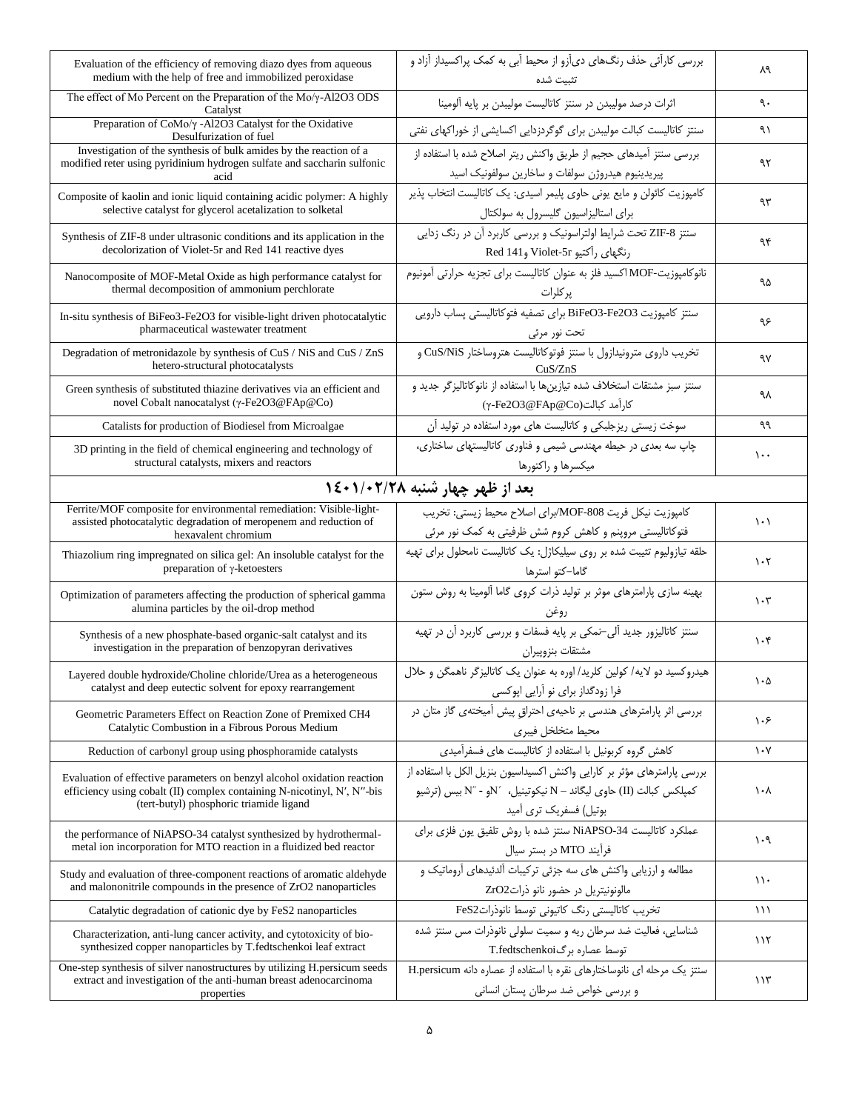| Evaluation of the efficiency of removing diazo dyes from aqueous<br>medium with the help of free and immobilized peroxidase                                                                    | بررسی کارآئی حذف رنگهای دیآزو از محیط آبی به کمک پراکسیداز آزاد و<br>تثبيت شده                                                                                             | ٨٩                              |
|------------------------------------------------------------------------------------------------------------------------------------------------------------------------------------------------|----------------------------------------------------------------------------------------------------------------------------------------------------------------------------|---------------------------------|
| The effect of Mo Percent on the Preparation of the Mo/y-Al2O3 ODS<br>Catalyst                                                                                                                  | اثرات درصد مولیبدن در سنتز کاتالیست مولیبدن بر پایه آلومینا                                                                                                                | ٩٠                              |
| Preparation of CoMo/γ -Al2O3 Catalyst for the Oxidative<br>Desulfurization of fuel                                                                                                             | سنتز کاتالیست کبالت مولیبدن برای گوگردزدایی اکسایشی از خوراکهای نفتی                                                                                                       | ۹۱                              |
| Investigation of the synthesis of bulk amides by the reaction of a<br>modified reter using pyridinium hydrogen sulfate and saccharin sulfonic<br>acid                                          | بررسی سنتز آمیدهای حجیم از طریق واکنش ریتر اصلاح شده با استفاده از<br>پیریدینیوم هیدروژن سولفات و ساخارین سولفونیک اسید                                                    | ۹۲                              |
| Composite of kaolin and ionic liquid containing acidic polymer: A highly<br>selective catalyst for glycerol acetalization to solketal                                                          | كامپوزيت كائولن و مايع يوني حاوي پليمر اسيدي: يک كاتاليست انتخاب پذير<br>برای استالیزاسیون گلیسرول به سولکتال                                                              | ٩٣                              |
| Synthesis of ZIF-8 under ultrasonic conditions and its application in the<br>decolorization of Violet-5r and Red 141 reactive dyes                                                             | سنتز ZIF-8 تحت شرایط اولتراسونیک و بررسی کاربرد آن در رنگ زدایی<br>رنگهای رآکتیو Violet-5r و Red 141                                                                       | ۹۴                              |
| Nanocomposite of MOF-Metal Oxide as high performance catalyst for<br>thermal decomposition of ammonium perchlorate                                                                             | نانوكامپوزیت-MOF اكسید فلز به عنوان كاتالیست برای تجزیه حرارتی آمونیوم<br>پر کلرات                                                                                         | ۹۵                              |
| In-situ synthesis of BiFeo3-Fe2O3 for visible-light driven photocatalytic<br>pharmaceutical wastewater treatment                                                                               | سنتز كامپوزيت BiFeO3-Fe2O3 براى تصفيه فتوكاتاليستى پساب دارويى<br>تحت نور مرئی                                                                                             | ۹۶                              |
| Degradation of metronidazole by synthesis of CuS / NiS and CuS / ZnS<br>hetero-structural photocatalysts                                                                                       | تخریب داروی مترونیدازول با سنتز فوتوكاتالیست هتروساختار CuS/NiS و<br>CuS/ZnS                                                                                               | ٩٧                              |
| Green synthesis of substituted thiazine derivatives via an efficient and<br>novel Cobalt nanocatalyst (γ-Fe2O3@FAp@Co)                                                                         | سنتز سبز مشتقات استخلاف شده تيازينها با استفاده از نانوكاتاليزگر جديد و<br>كاراًمد كبالت(γ-Fe2O3@FAp@Co)                                                                   | ٩λ                              |
| Catalists for production of Biodiesel from Microalgae                                                                                                                                          | سوخت زیستی ریزجلبکی و کاتالیست های مورد استفاده در تولید آن                                                                                                                | ٩٩                              |
| 3D printing in the field of chemical engineering and technology of<br>structural catalysts, mixers and reactors                                                                                | چاپ سه بعدی در حیطه مهندسی شیمی و فناوری کاتالیستهای ساختاری،<br>میکسرها و راکتورها                                                                                        | $\cdots$                        |
|                                                                                                                                                                                                | بعد از ظهر چهار شنبه ۱/۰۲/۲۸+۱٤                                                                                                                                            |                                 |
| Ferrite/MOF composite for environmental remediation: Visible-light-<br>assisted photocatalytic degradation of meropenem and reduction of<br>hexavalent chromium                                | كامپوزيت نيكل فريت MOF-808/براي اصلاح محيط زيستي: تخريب<br>فتوکاتالیستی مروپنم و کاهش کروم شش ظرفیتی به کمک نور مرئی                                                       | $\setminus \cdot$               |
| Thiazolium ring impregnated on silica gel: An insoluble catalyst for the<br>preparation of γ-ketoesters                                                                                        | حلقه تیازولیوم تثیبت شده بر روی سیلیکاژل: یک کاتالیست نامحلول برای تهیه<br>گاما–کتو استرها                                                                                 | $\cdot$ ٢                       |
| Optimization of parameters affecting the production of spherical gamma<br>alumina particles by the oil-drop method                                                                             | بهینه سازی پارامترهای موثر بر تولید ذرات کروی گاما آلومینا به روش ستون                                                                                                     | $\mathcal{N} \cdot \mathcal{R}$ |
| Synthesis of a new phosphate-based organic-salt catalyst and its<br>investigation in the preparation of benzopyran derivatives                                                                 | سنتز کاتالیزور جدید آلی-نمکی بر پایه فسفات و بررسی کاربرد آن در تهیه<br>مشتقات بنزوپيران                                                                                   | $\mathcal{N} \cdot \mathcal{F}$ |
| Layered double hydroxide/Choline chloride/Urea as a heterogeneous<br>catalyst and deep eutectic solvent for epoxy rearrangement                                                                | هیدروکسید دو لایه/ کولین کلرید/ اوره به عنوان یک کاتالیزگر ناهمگن و حلال<br>فرا زودگداز برای نو آرایی اپوکسی                                                               | ۱۰۵                             |
| Geometric Parameters Effect on Reaction Zone of Premixed CH4<br>Catalytic Combustion in a Fibrous Porous Medium                                                                                | بررسی اثر پارامترهای هندسی بر ناحیهی احتراق پیش آمیختهی گاز متان در<br>محيط متخلخل فيبرى                                                                                   | ۱۰۶                             |
| Reduction of carbonyl group using phosphoramide catalysts                                                                                                                                      | کاهش گروه کربونیل با استفاده از کاتالیست های فسفرآمیدی                                                                                                                     | $\mathcal{N}$                   |
| Evaluation of effective parameters on benzyl alcohol oxidation reaction<br>efficiency using cobalt (II) complex containing N-nicotinyl, N', N''-bis<br>(tert-butyl) phosphoric triamide ligand | بررسی پارامترهای مؤثر بر کارایی واکنش اکسیداسیون بنزیل الکل با استفاده از<br>كميلكس كبالت (II) حاوى ليگاند - N نيكوتينيل، 11⁄2و - 11″ بيس (ترشيو<br>بوتیل) فسفریک تری آمید | ۱۰۸                             |
| the performance of NiAPSO-34 catalyst synthesized by hydrothermal-<br>metal ion incorporation for MTO reaction in a fluidized bed reactor                                                      | عملکرد کاتالیست NiAPSO-34 سنتز شده با روش تلفیق یون فلزی برای<br>فرأيند MTO در بستر سيال                                                                                   | ۱۰۹                             |
| Study and evaluation of three-component reactions of aromatic aldehyde<br>and malononitrile compounds in the presence of ZrO2 nanoparticles                                                    | مطالعه و ارزیابی واکنش های سه جزئی ترکیبات آلدئیدهای آروماتیک و<br>مالونونیتریل در حضور نانو ذرات ZrO2                                                                     | $\setminus \cdot$               |
| Catalytic degradation of cationic dye by FeS2 nanoparticles                                                                                                                                    | تخریب کاتالیستی رنگ کاتیونی توسط نانوذراتFeS2                                                                                                                              | ۱۱۱                             |
| Characterization, anti-lung cancer activity, and cytotoxicity of bio-<br>synthesized copper nanoparticles by T.fedtschenkoi leaf extract                                                       | شناسایی، فعالیت ضد سرطان ریه و سمیت سلولی نانوذرات مس سنتز شده<br>توسط عصاره برگT.fedtschenkoi                                                                             | ۱۱۲                             |
| One-step synthesis of silver nanostructures by utilizing H.persicum seeds<br>extract and investigation of the anti-human breast adenocarcinoma<br>properties                                   | سنتز یک مرحله ای نانوساختارهای نقره با استفاده از عصاره دانه H.persicum<br>و بررسی خواص ضد سرطان پستان انسانی                                                              | 115                             |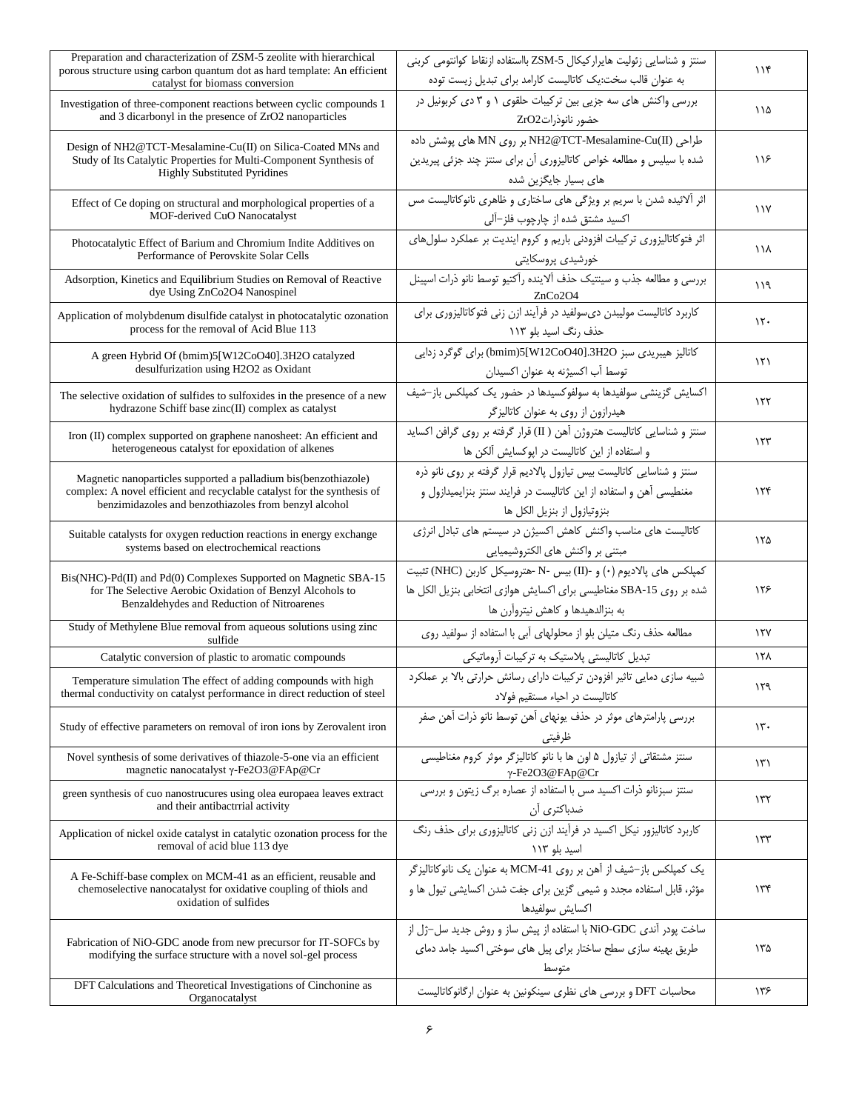| Preparation and characterization of ZSM-5 zeolite with hierarchical<br>porous structure using carbon quantum dot as hard template: An efficient<br>catalyst for biomass conversion                  | سنتز و شناسایی زئولیت هایرارکیکال ZSM-5 بااستفاده ازنقاط کوانتومی کربنی<br>به عنوان قالب سخت:یک کاتالیست کارامد برای تبدیل زیست توده                                         | 116             |
|-----------------------------------------------------------------------------------------------------------------------------------------------------------------------------------------------------|------------------------------------------------------------------------------------------------------------------------------------------------------------------------------|-----------------|
| Investigation of three-component reactions between cyclic compounds 1<br>and 3 dicarbonyl in the presence of ZrO2 nanoparticles                                                                     | بررسی واکنش های سه جزیی بین ترکیبات حلقوی ١ و ٣ دی کربونیل در<br>حضور نانوذراتZrO2                                                                                           | ۱۱۵             |
| Design of NH2@TCT-Mesalamine-Cu(II) on Silica-Coated MNs and<br>Study of Its Catalytic Properties for Multi-Component Synthesis of<br><b>Highly Substituted Pyridines</b>                           | طراحی (NN وNH2@TCT-Mesalamine-Cu(II بر روی MN های پوشش داده<br>شده با سیلیس و مطالعه خواص کاتالیزوری آن برای سنتز چند جزئی پیریدین<br>های بسیار جایگزین شده                  | ۱۱۶             |
| Effect of Ce doping on structural and morphological properties of a<br>MOF-derived CuO Nanocatalyst                                                                                                 | اثر آلائیده شدن با سریم بر ویژگی های ساختاری و ظاهری نانوکاتالیست مس<br>اکسید مشتق شده از چارچوب فلز–آلی                                                                     | $\lambda$       |
| Photocatalytic Effect of Barium and Chromium Indite Additives on<br>Performance of Perovskite Solar Cells                                                                                           | اثر فتوكاتاليزوري تركيبات افزودني باريم وكروم اينديت بر عملكرد سلول هاي<br>خورشيدي پروسكايتي                                                                                 | ۱۱۸             |
| Adsorption, Kinetics and Equilibrium Studies on Removal of Reactive<br>dye Using ZnCo2O4 Nanospinel                                                                                                 | بررسي و مطالعه جذب و سينتيک حذف آلاينده رآکتيو توسط نانو ذرات اسپينل<br>ZnCo2O4                                                                                              | ۱۱۹             |
| Application of molybdenum disulfide catalyst in photocatalytic ozonation<br>process for the removal of Acid Blue 113                                                                                | کاربرد کاتالیست مولیبدن دی سولفید در فرآیند ازن زنی فتوکاتالیزوری برای<br>حذف رنگ اسید بلو ۱۱۳                                                                               | $\mathcal{N}$   |
| A green Hybrid Of (bmim)5[W12CoO40].3H2O catalyzed<br>desulfurization using H2O2 as Oxidant                                                                                                         | كاتاليز هيبريدي سبز wmim)5[W12CoO40].3H2O) براي گوگرد زدايي<br>توسط آب اکسیژنه به عنوان اکسیدان                                                                              | ۱۲۱             |
| The selective oxidation of sulfides to sulfoxides in the presence of a new<br>hydrazone Schiff base zinc(II) complex as catalyst                                                                    | اکسایش گزینشی سولفیدها به سولفوکسیدها در حضور یک کمپلکس باز-شیف<br>هیدرازون از روی به عنوان کاتالیزگر                                                                        | ۱۲۲             |
| Iron (II) complex supported on graphene nanosheet: An efficient and<br>heterogeneous catalyst for epoxidation of alkenes                                                                            | سنتز و شناسایی کاتالیست هتروژن آهن ( II) قرار گرفته بر روی گرافن اکساید<br>و استفاده از این کاتالیست در اپوکسایش آلکن ها                                                     | ۱۲۳             |
| Magnetic nanoparticles supported a palladium bis(benzothiazole)<br>complex: A novel efficient and recyclable catalyst for the synthesis of<br>benzimidazoles and benzothiazoles from benzyl alcohol | سنتز و شناسایی کاتالیست بیس تیازول پالادیم قرار گرفته بر روی نانو ذره<br>مغنطیسی آهن و استفاده از این کاتالیست در فرایند سنتز بنزایمیدازول و<br>بنزوتيازول از بنزيل الكل ها  | ۱۲۴             |
| Suitable catalysts for oxygen reduction reactions in energy exchange<br>systems based on electrochemical reactions                                                                                  | کاتالیست های مناسب واکنش کاهش اکسیژن در سیستم های تبادل انرژی<br>مبتنی بر واکنش های الکتروشیمیایی                                                                            | ۱۲۵             |
| Bis(NHC)-Pd(II) and Pd(0) Complexes Supported on Magnetic SBA-15<br>for The Selective Aerobic Oxidation of Benzyl Alcohols to<br>Benzaldehydes and Reduction of Nitroarenes                         | كمپلكس هاى پالاديوم (٠) و -(II) بيس -N-هتروسيكل كاربن (NHC) تثبيت<br>شده بر روى SBA-15 مغناطيسى براى اكسايش هوازى انتخابى بنزيل الكل ها<br>به بنزالدهیدها و کاهش نیتروآرن ها | ۱۲۶             |
| Study of Methylene Blue removal from aqueous solutions using zinc<br>sulfide                                                                                                                        | مطالعه حذف رنگ متیلن بلو از محلولهای آبی با استفاده از سولفید روی                                                                                                            | ١٢٧             |
| Catalytic conversion of plastic to aromatic compounds                                                                                                                                               | تبدیل کاتالیستی پلاستیک به ترکیبات آروماتیکی                                                                                                                                 | ۱۲۸             |
| Temperature simulation The effect of adding compounds with high<br>thermal conductivity on catalyst performance in direct reduction of steel                                                        | شبیه سازی دمایی تاثیر افزودن ترکیبات دارای رسانش حرارتی بالا بر عملکرد<br>كاتاليست در احياء مستقيم فولاد                                                                     | ۱۲۹             |
| Study of effective parameters on removal of iron ions by Zerovalent iron                                                                                                                            | بررسی پارامترهای موثر در حذف یونهای آهن توسط نانو ذرات آهن صفر<br>ظرفيتي                                                                                                     | $\mathcal{N}$ . |
| Novel synthesis of some derivatives of thiazole-5-one via an efficient<br>magnetic nanocatalyst γ-Fe2O3@FAp@Cr                                                                                      | سنتز مشتقاتی از تیازول ۵ اون ها با نانو کاتالیزگر موثر کروم مغناطیسی<br>γ-Fe2O3@FAp@Cr                                                                                       | ۱۳۱             |
| green synthesis of cuo nanostrucures using olea europaea leaves extract<br>and their antibactrrial activity                                                                                         | ۷-re2U3@FAp@Cr<br>سنتز سبزنانو ذرات اکسید مس با استفاده از عصاره برگ زیتون و بررسی<br>ضدباکتری آن                                                                            | ۱۳۲             |
| Application of nickel oxide catalyst in catalytic ozonation process for the<br>removal of acid blue 113 dye                                                                                         | کاربرد کاتالیزور نیکل اکسید در فرآیند ازن زنی کاتالیزوری برای حذف رنگ<br>اسید بلو ۱۱۳                                                                                        | ۱۳۳             |
| A Fe-Schiff-base complex on MCM-41 as an efficient, reusable and<br>chemoselective nanocatalyst for oxidative coupling of thiols and<br>oxidation of sulfides                                       | یک کمپلکس باز-شیف از آهن بر روی MCM-41 به عنوان یک نانوکاتالیزگر<br>مؤثر، قابل استفاده مجدد و شیمی گزین برای جفت شدن اکسایشی تیول ها و<br>اكسايش سولفيدها                    | ۱۳۴             |
| Fabrication of NiO-GDC anode from new precursor for IT-SOFCs by<br>modifying the surface structure with a novel sol-gel process                                                                     | ساخت یودر آندی NiO-GDC با استفاده از پیش ساز و روش جدید سل–ژل از<br>طریق بهینه سازی سطح ساختار برای پیل های سوختی اکسید جامد دمای<br>متوسط                                   | ۱۳۵             |
| DFT Calculations and Theoretical Investigations of Cinchonine as<br>Organocatalyst                                                                                                                  | محاسبات DFT و بررسی های نظری سینکونین به عنوان ارگانوکاتالیست                                                                                                                | ۱۳۶             |